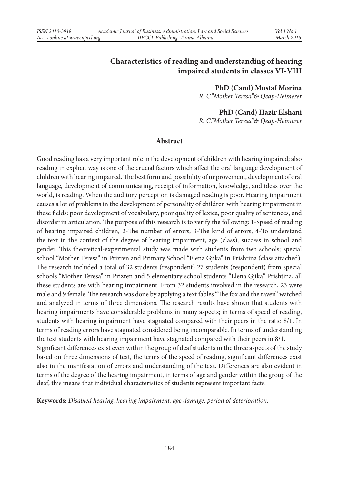# **Characteristics of reading and understanding of hearing impaired students in classes VI-VIII**

**PhD (Cand) Mustaf Morina**

*R. C."Mother Teresa"& Qeap-Heimerer* 

**PhD (Cand) Hazir Elshani**

*R. C."Mother Teresa"& Qeap-Heimerer* 

#### **Abstract**

Good reading has a very important role in the development of children with hearing impaired; also reading in explicit way is one of the crucial factors which affect the oral language development of children with hearing impaired. The best form and possibility of improvement, development of oral language, development of communicating, receipt of information, knowledge, and ideas over the world, is reading. When the auditory perception is damaged reading is poor. Hearing impairment causes a lot of problems in the development of personality of children with hearing impairment in these fields: poor development of vocabulary, poor quality of lexica, poor quality of sentences, and disorder in articulation. The purpose of this research is to verify the following: 1-Speed of reading of hearing impaired children, 2-The number of errors, 3-The kind of errors, 4-To understand the text in the context of the degree of hearing impairment, age (class), success in school and gender. This theoretical-experimental study was made with students from two schools; special school "Mother Teresa" in Prizren and Primary School "Elena Gjika" in Prishtina (class attached). The research included a total of 32 students (respondent) 27 students (respondent) from special schools "Mother Teresa" in Prizren and 5 elementary school students "Elena Gjika" Prishtina, all these students are with hearing impairment. From 32 students involved in the research, 23 were male and 9 female. The research was done by applying a text fables "The fox and the raven" watched and analyzed in terms of three dimensions. The research results have shown that students with hearing impairments have considerable problems in many aspects; in terms of speed of reading, students with hearing impairment have stagnated compared with their peers in the ratio 8/1. In terms of reading errors have stagnated considered being incomparable. In terms of understanding the text students with hearing impairment have stagnated compared with their peers in 8/1.

Significant differences exist even within the group of deaf students in the three aspects of the study based on three dimensions of text, the terms of the speed of reading, significant differences exist also in the manifestation of errors and understanding of the text. Differences are also evident in terms of the degree of the hearing impairment, in terms of age and gender within the group of the deaf; this means that individual characteristics of students represent important facts.

**Keywords:** *Disabled hearing, hearing impairment, age damage, period of deterioration.*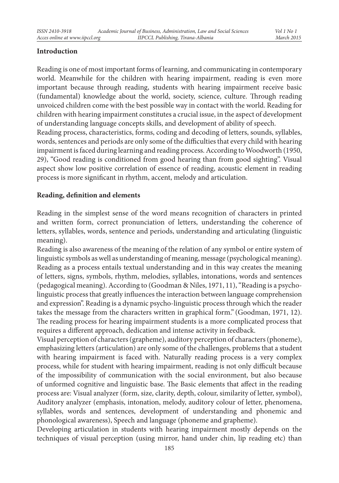# **Introduction**

Reading is one of most important forms of learning, and communicating in contemporary world. Meanwhile for the children with hearing impairment, reading is even more important because through reading, students with hearing impairment receive basic (fundamental) knowledge about the world, society, science, culture. Through reading unvoiced children come with the best possible way in contact with the world. Reading for children with hearing impairment constitutes a crucial issue, in the aspect of development of understanding language concepts skills, and development of ability of speech. Reading process, characteristics, forms, coding and decoding of letters, sounds, syllables, words, sentences and periods are only some of the difficulties that every child with hearing impairment is faced during learning and reading process. According to Woodworth (1950, 29), "Good reading is conditioned from good hearing than from good sighting". Visual aspect show low positive correlation of essence of reading, acoustic element in reading process is more significant in rhythm, accent, melody and articulation.

### **Reading, definition and elements**

Reading in the simplest sense of the word means recognition of characters in printed and written form, correct pronunciation of letters, understanding the coherence of letters, syllables, words, sentence and periods, understanding and articulating (linguistic meaning).

Reading is also awareness of the meaning of the relation of any symbol or entire system of linguistic symbols as well as understanding of meaning, message (psychological meaning). Reading as a process entails textual understanding and in this way creates the meaning of letters, signs, symbols, rhythm, melodies, syllables, intonations, words and sentences (pedagogical meaning). According to (Goodman & Niles, 1971, 11), "Reading is a psycholinguistic process that greatly influences the interaction between language comprehension and expression". Reading is a dynamic psycho-linguistic process through which the reader takes the message from the characters written in graphical form." (Goodman, 1971, 12). The reading process for hearing impairment students is a more complicated process that requires a different approach, dedication and intense activity in feedback.

Visual perception of characters (grapheme), auditory perception of characters (phoneme), emphasizing letters (articulation) are only some of the challenges, problems that a student with hearing impairment is faced with. Naturally reading process is a very complex process, while for student with hearing impairment, reading is not only difficult because of the impossibility of communication with the social environment, but also because of unformed cognitive and linguistic base. The Basic elements that affect in the reading process are: Visual analyzer (form, size, clarity, depth, colour, similarity of letter, symbol), Auditory analyzer (emphasis, intonation, melody, auditory colour of letter, phenomena, syllables, words and sentences, development of understanding and phonemic and phonological awareness), Speech and language (phoneme and grapheme).

Developing articulation in students with hearing impairment mostly depends on the techniques of visual perception (using mirror, hand under chin, lip reading etc) than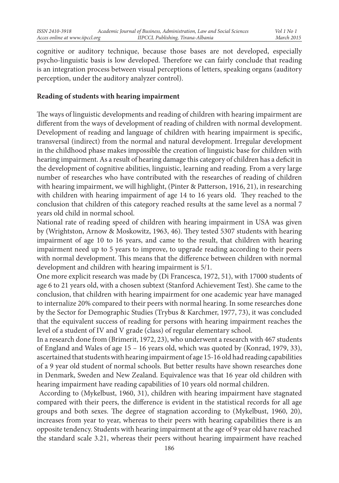cognitive or auditory technique, because those bases are not developed, especially psycho-linguistic basis is low developed. Therefore we can fairly conclude that reading is an integration process between visual perceptions of letters, speaking organs (auditory perception, under the auditory analyzer control).

#### **Reading of students with hearing impairment**

The ways of linguistic developments and reading of children with hearing impairment are different from the ways of development of reading of children with normal development. Development of reading and language of children with hearing impairment is specific, transversal (indirect) from the normal and natural development. Irregular development in the childhood phase makes impossible the creation of linguistic base for children with hearing impairment. As a result of hearing damage this category of children has a deficit in the development of cognitive abilities, linguistic, learning and reading. From a very large number of researches who have contributed with the researches of reading of children with hearing impairment, we will highlight, (Pinter & Patterson, 1916, 21), in researching with children with hearing impairment of age 14 to 16 years old. They reached to the conclusion that children of this category reached results at the same level as a normal 7 years old child in normal school.

National rate of reading speed of children with hearing impairment in USA was given by (Wrightston, Arnow & Moskowitz, 1963, 46). They tested 5307 students with hearing impairment of age 10 to 16 years, and came to the result, that children with hearing impairment need up to 5 years to improve, to upgrade reading according to their peers with normal development. This means that the difference between children with normal development and children with hearing impairment is 5/1.

One more explicit research was made by (Di Francesca, 1972, 51), with 17000 students of age 6 to 21 years old, with a chosen subtext (Stanford Achievement Test). She came to the conclusion, that children with hearing impairment for one academic year have managed to internalize 20% compared to their peers with normal hearing. In some researches done by the Sector for Demographic Studies (Trybus & Karchmer, 1977, 73), it was concluded that the equivalent success of reading for persons with hearing impairment reaches the level of a student of IV and V grade (class) of regular elementary school.

In a research done from (Brimerit, 1972, 23), who underwent a research with 467 students of England and Wales of age 15 – 16 years old, which was quoted by (Konrad, 1979, 33), ascertained that students with hearing impairment of age 15-16 old had reading capabilities of a 9 year old student of normal schools. But better results have shown researches done in Denmark, Sweden and New Zealand. Equivalence was that 16 year old children with hearing impairment have reading capabilities of 10 years old normal children.

 According to (Mykelbust, 1960, 31), children with hearing impairment have stagnated compared with their peers, the difference is evident in the statistical records for all age groups and both sexes. The degree of stagnation according to (Mykelbust, 1960, 20), increases from year to year, whereas to their peers with hearing capabilities there is an opposite tendency. Students with hearing impairment at the age of 9 year old have reached the standard scale 3.21, whereas their peers without hearing impairment have reached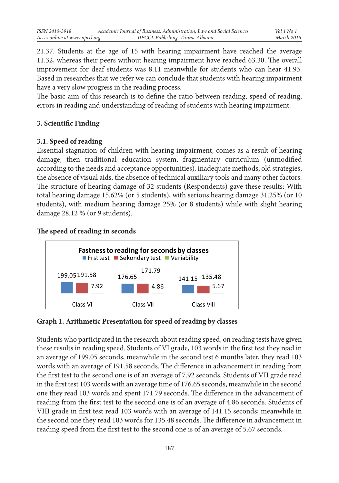21.37. Students at the age of 15 with hearing impairment have reached the average 11.32, whereas their peers without hearing impairment have reached 63.30. The overall improvement for deaf students was 8.11 meanwhile for students who can hear 41.93. Based in researches that we refer we can conclude that students with hearing impairment have a very slow progress in the reading process.

The basic aim of this research is to define the ratio between reading, speed of reading, errors in reading and understanding of reading of students with hearing impairment.

### **3. Scientific Finding**

## **3.1. Speed of reading**

Essential stagnation of children with hearing impairment, comes as a result of hearing damage, then traditional education system, fragmentary curriculum (unmodified according to the needs and acceptance opportunities), inadequate methods, old strategies, the absence of visual aids, the absence of technical auxiliary tools and many other factors. The structure of hearing damage of 32 students (Respondents) gave these results: With total hearing damage 15.62% (or 5 students), with serious hearing damage 31.25% (or 10 students), with medium hearing damage 25% (or 8 students) while with slight hearing damage 28.12 % (or 9 students).

## **The speed of reading in seconds**



**Graph 1. Arithmetic Presentation for speed of reading by classes**

Students who participated in the research about reading speed, on reading tests have given these results in reading speed. Students of VI grade, 103 words in the first test they read in an average of 199.05 seconds, meanwhile in the second test 6 months later, they read 103 words with an average of 191.58 seconds. The difference in advancement in reading from the first test to the second one is of an average of 7.92 seconds. Students of VII grade read in the first test 103 words with an average time of 176.65 seconds, meanwhile in the second one they read 103 words and spent 171.79 seconds. The difference in the advancement of reading from the first test to the second one is of an average of 4.86 seconds. Students of VIII grade in first test read 103 words with an average of 141.15 seconds; meanwhile in the second one they read 103 words for 135.48 seconds. The difference in advancement in reading speed from the first test to the second one is of an average of 5.67 seconds.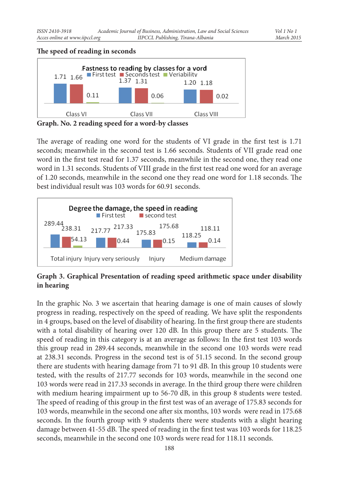### **The speed of reading in seconds**



**Graph. No. 2 reading speed for a word-by classes** 

The average of reading one word for the students of VI grade in the first test is 1.71 seconds; meanwhile in the second test is 1.66 seconds. Students of VII grade read one word in the first test read for 1.37 seconds, meanwhile in the second one, they read one word in 1.31 seconds. Students of VIII grade in the first test read one word for an average of 1.20 seconds, meanwhile in the second one they read one word for 1.18 seconds. The best individual result was 103 words for 60.91 seconds.



## **Graph 3. Graphical Presentation of reading speed arithmetic space under disability in hearing**

In the graphic No. 3 we ascertain that hearing damage is one of main causes of slowly progress in reading, respectively on the speed of reading. We have split the respondents in 4 groups, based on the level of disability of hearing. In the first group there are students with a total disability of hearing over 120 dB. In this group there are 5 students. The speed of reading in this category is at an average as follows: In the first test 103 words this group read in 289.44 seconds, meanwhile in the second one 103 words were read at 238.31 seconds. Progress in the second test is of 51.15 second. In the second group there are students with hearing damage from 71 to 91 dB. In this group 10 students were tested, with the results of 217.77 seconds for 103 words, meanwhile in the second one 103 words were read in 217.33 seconds in average. In the third group there were children with medium hearing impairment up to 56-70 dB, in this group 8 students were tested. The speed of reading of this group in the first test was of an average of 175.83 seconds for 103 words, meanwhile in the second one after six months, 103 words were read in 175.68 seconds. In the fourth group with 9 students there were students with a slight hearing damage between 41-55 dB. The speed of reading in the first test was 103 words for 118.25 seconds, meanwhile in the second one 103 words were read for 118.11 seconds.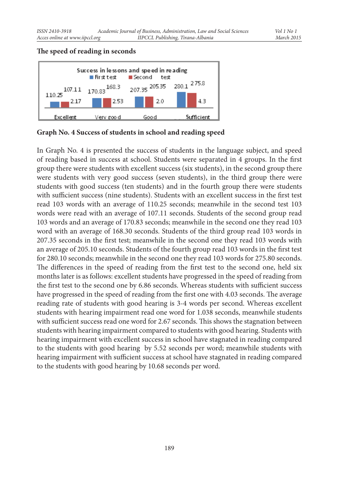#### **The speed of reading in seconds**



**Graph No. 4 Success of students in school and reading speed**

In Graph No. 4 is presented the success of students in the language subject, and speed of reading based in success at school. Students were separated in 4 groups. In the first group there were students with excellent success (six students), in the second group there were students with very good success (seven students), in the third group there were students with good success (ten students) and in the fourth group there were students with sufficient success (nine students). Students with an excellent success in the first test read 103 words with an average of 110.25 seconds; meanwhile in the second test 103 words were read with an average of 107.11 seconds. Students of the second group read 103 words and an average of 170.83 seconds; meanwhile in the second one they read 103 word with an average of 168.30 seconds. Students of the third group read 103 words in 207.35 seconds in the first test; meanwhile in the second one they read 103 words with an average of 205.10 seconds. Students of the fourth group read 103 words in the first test for 280.10 seconds; meanwhile in the second one they read 103 words for 275.80 seconds. The differences in the speed of reading from the first test to the second one, held six months later is as follows: excellent students have progressed in the speed of reading from the first test to the second one by 6.86 seconds. Whereas students with sufficient success have progressed in the speed of reading from the first one with 4.03 seconds. The average reading rate of students with good hearing is 3-4 words per second. Whereas excellent students with hearing impairment read one word for 1.038 seconds, meanwhile students with sufficient success read one word for 2.67 seconds. This shows the stagnation between students with hearing impairment compared to students with good hearing. Students with hearing impairment with excellent success in school have stagnated in reading compared to the students with good hearing by 5.52 seconds per word; meanwhile students with hearing impairment with sufficient success at school have stagnated in reading compared to the students with good hearing by 10.68 seconds per word.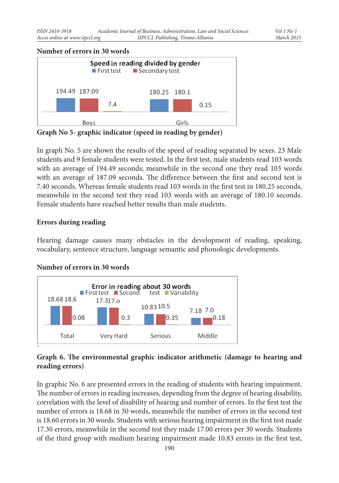#### **Number of errors in 30 words**



**Graph No 5- graphic indicator (speed in reading by gender)**

In graph No. 5 are shown the results of the speed of reading separated by sexes. 23 Male students and 9 female students were tested. In the first test, male students read 103 words with an average of 194.49 seconds; meanwhile in the second one they read 103 words with an average of 187.09 seconds. The difference between the first and second test is 7.40 seconds. Whereas female students read 103 words in the first test in 180.25 seconds, meanwhile in the second test they read 103 words with an average of 180.10 seconds. Female students have reached better results than male students.

#### **Errors during reading**

Hearing damage causes many obstacles in the development of reading, speaking, vocabulary, sentence structure, language semantic and phonologic developments.

#### **Number of errors in 30 words**



## **Graph 6. The environmental graphic indicator arithmetic (damage to hearing and reading errors)**

In graphic No. 6 are presented errors in the reading of students with hearing impairment. The number of errors in reading increases, depending from the degree of hearing disability, correlation with the level of disability of hearing and number of errors. In the first test the number of errors is 18.68 in 30 words, meanwhile the number of errors in the second test is 18.60 errors in 30 words. Students with serious hearing impairment in the first test made 17.30 errors, meanwhile in the second test they made 17.00 errors per 30 words. Students of the third group with medium hearing impairment made 10.83 errors in the first test,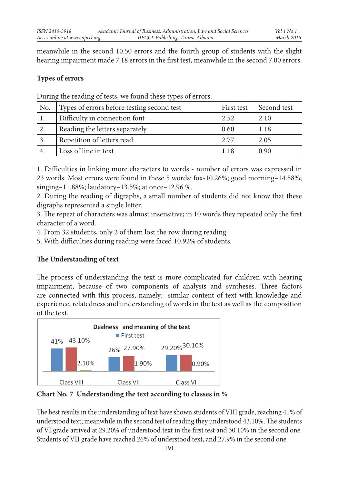meanwhile in the second 10.50 errors and the fourth group of students with the slight hearing impairment made 7.18 errors in the first test, meanwhile in the second 7.00 errors.

## **Types of errors**

During the reading of tests, we found these types of errors:

| No. | Types of errors before testing second test | First test | Second test |
|-----|--------------------------------------------|------------|-------------|
|     | Difficulty in connection font              | 2.52       | 2.10        |
|     | Reading the letters separately             | 0.60       | 1.18        |
|     | Repetition of letters read                 | 2.77       | 2.05        |
|     | Loss of line in text                       | 118        | 0.90        |

1. Difficulties in linking more characters to words - number of errors was expressed in 23 words. Most errors were found in these 5 words: fox-10.26%; good morning–14.58%; singing–11.88%; laudatory–13.5%; at once–12.96 %.

2. During the reading of digraphs, a small number of students did not know that these digraphs represented a single letter.

3. The repeat of characters was almost insensitive; in 10 words they repeated only the first character of a word.

4. From 32 students, only 2 of them lost the row during reading.

5. With difficulties during reading were faced 10.92% of students.

# **The Understanding of text**

The process of understanding the text is more complicated for children with hearing impairment, because of two components of analysis and syntheses. Three factors are connected with this process, namely: similar content of text with knowledge and experience, relatedness and understanding of words in the text as well as the composition of the text.



**Chart No. 7 Understanding the text according to classes in %**

The best results in the understanding of text have shown students of VIII grade, reaching 41% of understood text; meanwhile in the second test of reading they understood 43.10%. The students of VI grade arrived at 29.20% of understood text in the first test and 30.10% in the second one. Students of VII grade have reached 26% of understood text, and 27.9% in the second one.